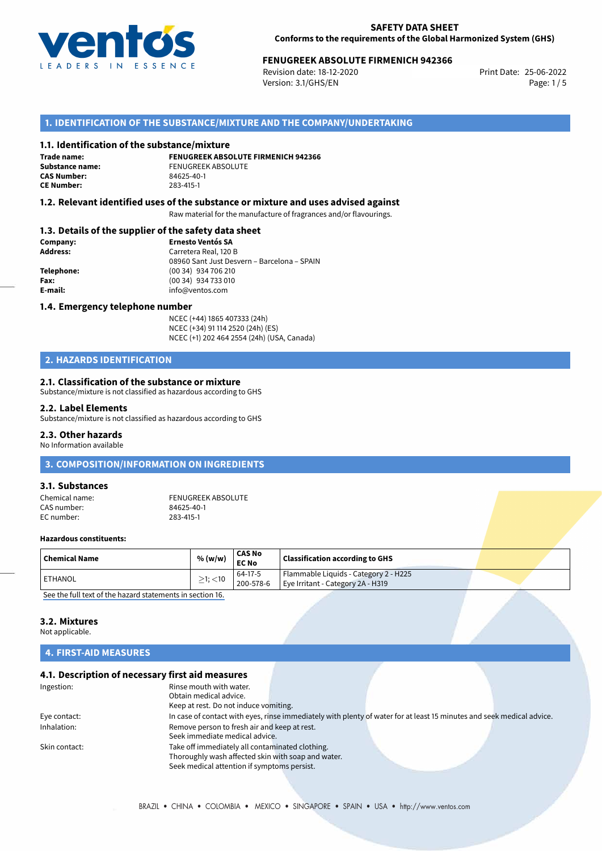

## **FENUGREEK ABSOLUTE FIRMENICH 942366**<br>Revision date: 18-12-2020 Print Date: 25-06-2022

Revision date: 18-12-2020 Version: 3.1/GHS/EN Page: 1 / 5

## **1. IDENTIFICATION OF THE SUBSTANCE/MIXTURE AND THE COMPANY/UNDERTAKING**

#### **1.1. Identification of the substance/mixture**

**Trade name: CAS Number: CE Number:** 283-415-1

**FENUGREEK ABSOLUTE FIRMENICH 942366 Substance name:** FENUGREEK ABSOLUTE<br> **CAS Number:** 84625-40-1

#### **1.2. Relevant identified uses of the substance or mixture and uses advised against**

Raw material for the manufacture of fragrances and/or flavourings.

## **1.3. Details of the supplier of the safety data sheet**

| Company:   | <b>Ernesto Ventós SA</b>                    |  |
|------------|---------------------------------------------|--|
| Address:   | Carretera Real, 120 B                       |  |
|            | 08960 Sant Just Desvern - Barcelona - SPAIN |  |
| Telephone: | (00 34) 934 706 210                         |  |
| Fax:       | (00 34) 934 733 010                         |  |
| E-mail:    | info@ventos.com                             |  |
|            |                                             |  |

#### **1.4. Emergency telephone number**

NCEC (+44) 1865 407333 (24h) NCEC (+34) 91 114 2520 (24h) (ES) NCEC (+1) 202 464 2554 (24h) (USA, Canada)

## **2. HAZARDS IDENTIFICATION**

#### **2.1. Classification of the substance or mixture**

Substance/mixture is not classified as hazardous according to GHS

#### **2.2. Label Elements**

Substance/mixture is not classified as hazardous according to GHS

#### **2.3. Other hazards**

No Information available

## **3. COMPOSITION/INFORMATION ON INGREDIENTS**

## **3.1. Substances**

| Chemical name: | FENUGREEK ABSOLUTE |
|----------------|--------------------|
| CAS number:    | 84625-40-1         |
| EC number:     | 283-415-1          |

#### **Hazardous constituents:**

| Chemical Name   | % (w/w)          | <b>CAS No</b><br><b>EC No</b> | <b>Classification according to GHS</b> |  |
|-----------------|------------------|-------------------------------|----------------------------------------|--|
| <b>LETHANOL</b> | $\geq$ 1; $<$ 10 | 64-17-5                       | Flammable Liquids - Category 2 - H225  |  |
| .               |                  | $'$ 200-578-6                 | Eye Irritant - Category 2A - H319      |  |

[See the full text of the hazard statements in section 16.](#page--1-0)

## **3.2. Mixtures**

Not applicable.

## **4. FIRST-AID MEASURES**

## **4.1. Description of necessary first aid measures**

| Ingestion:    | Rinse mouth with water.                            |                                                                                                                       |  |
|---------------|----------------------------------------------------|-----------------------------------------------------------------------------------------------------------------------|--|
|               | Obtain medical advice.                             |                                                                                                                       |  |
|               | Keep at rest. Do not induce vomiting.              |                                                                                                                       |  |
| Eye contact:  |                                                    | In case of contact with eyes, rinse immediately with plenty of water for at least 15 minutes and seek medical advice. |  |
| Inhalation:   | Remove person to fresh air and keep at rest.       |                                                                                                                       |  |
|               | Seek immediate medical advice.                     |                                                                                                                       |  |
| Skin contact: | Take off immediately all contaminated clothing.    |                                                                                                                       |  |
|               | Thoroughly wash affected skin with soap and water. |                                                                                                                       |  |
|               | Seek medical attention if symptoms persist.        |                                                                                                                       |  |
|               |                                                    |                                                                                                                       |  |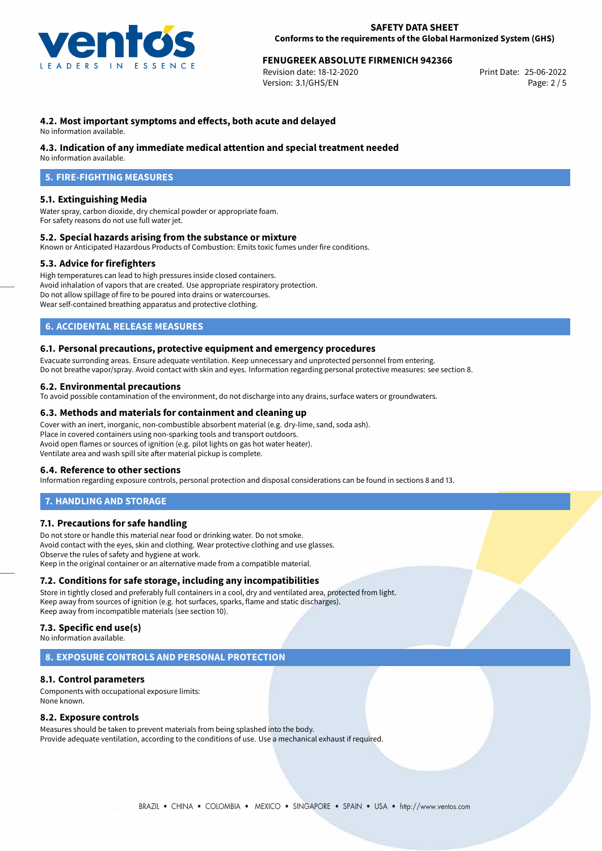

## **FENUGREEK ABSOLUTE FIRMENICH 942366**<br>Revision date: 18-12-2020

Revision date: 18-12-2020 Version: 3.1/GHS/EN Page: 2 / 5

## **4.2. Most important symptoms and effects, both acute and delayed**

No information available.

#### **4.3. Indication of any immediate medical attention and special treatment needed**

No information available.

## **5. FIRE-FIGHTING MEASURES**

#### **5.1. Extinguishing Media**

Water spray, carbon dioxide, dry chemical powder or appropriate foam. For safety reasons do not use full water jet.

#### **5.2. Special hazards arising from the substance or mixture**

Known or Anticipated Hazardous Products of Combustion: Emits toxic fumes under fire conditions.

#### **5.3. Advice for firefighters**

High temperatures can lead to high pressures inside closed containers. Avoid inhalation of vapors that are created. Use appropriate respiratory protection. Do not allow spillage of fire to be poured into drains or watercourses. Wear self-contained breathing apparatus and protective clothing.

## **6. ACCIDENTAL RELEASE MEASURES**

#### **6.1. Personal precautions, protective equipment and emergency procedures**

Evacuate surronding areas. Ensure adequate ventilation. Keep unnecessary and unprotected personnel from entering. Do not breathe vapor/spray. Avoid contact with skin and eyes. Information regarding personal protective measures: see section 8.

#### **6.2. Environmental precautions**

To avoid possible contamination of the environment, do not discharge into any drains, surface waters or groundwaters.

#### **6.3. Methods and materials for containment and cleaning up**

Cover with an inert, inorganic, non-combustible absorbent material (e.g. dry-lime, sand, soda ash). Place in covered containers using non-sparking tools and transport outdoors. Avoid open flames or sources of ignition (e.g. pilot lights on gas hot water heater). Ventilate area and wash spill site after material pickup is complete.

#### **6.4. Reference to other sections**

Information regarding exposure controls, personal protection and disposal considerations can be found in sections 8 and 13.

#### **7. HANDLING AND STORAGE**

#### **7.1. Precautions for safe handling**

Do not store or handle this material near food or drinking water. Do not smoke. Avoid contact with the eyes, skin and clothing. Wear protective clothing and use glasses. Observe the rules of safety and hygiene at work. Keep in the original container or an alternative made from a compatible material.

#### **7.2. Conditions for safe storage, including any incompatibilities**

Store in tightly closed and preferably full containers in a cool, dry and ventilated area, protected from light. Keep away from sources of ignition (e.g. hot surfaces, sparks, flame and static discharges). Keep away from incompatible materials (see section 10).

## **7.3. Specific end use(s)**

No information available.

#### **8. EXPOSURE CONTROLS AND PERSONAL PROTECTION**

#### **8.1. Control parameters**

Components with occupational exposure limits: None known.

#### **8.2. Exposure controls**

Measures should be taken to prevent materials from being splashed into the body. Provide adequate ventilation, according to the conditions of use. Use a mechanical exhaust if required.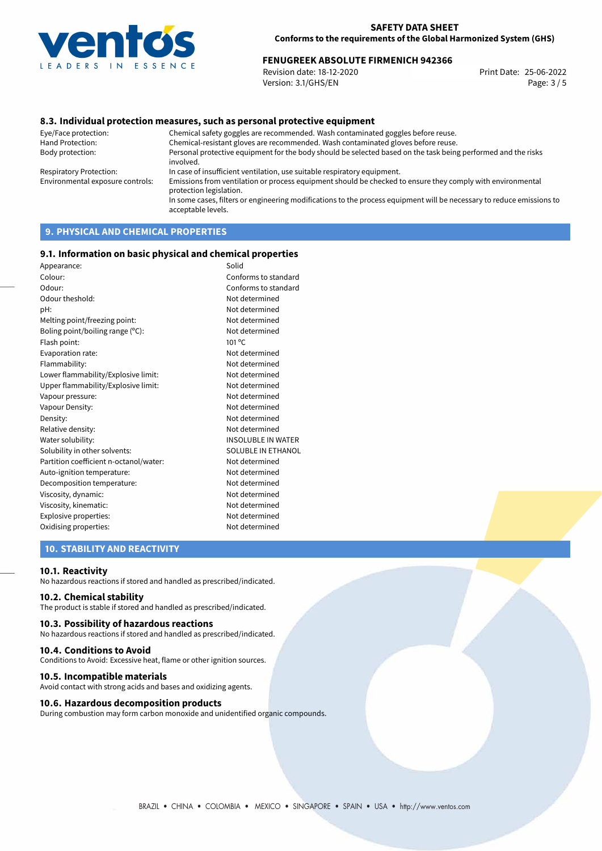

## **FENUGREEK ABSOLUTE FIRMENICH 942366**<br>Revision date: 18-12-2020 Print Date: 25-06-2022

Revision date: 18-12-2020 Version: 3.1/GHS/EN Page: 3 / 5

## **8.3. Individual protection measures, such as personal protective equipment**

Eye/Face protection: Chemical safety goggles are recommended. Wash contaminated goggles before reuse. Chemical-resistant gloves are recommended. Wash contaminated gloves before reuse. Body protection: Personal protective equipment for the body should be selected based on the task being performed and the risks involved. Respiratory Protection: In case of insufficient ventilation, use suitable respiratory equipment. Environmental exposure controls: Emissions from ventilation or process equipment should be checked to ensure they comply with environmental protection legislation. In some cases, filters or engineering modifications to the process equipment will be necessary to reduce emissions to acceptable levels.

## **9. PHYSICAL AND CHEMICAL PROPERTIES**

#### **9.1. Information on basic physical and chemical properties**

| Appearance:                            | Solid                     |
|----------------------------------------|---------------------------|
| Colour:                                | Conforms to standard      |
| Odour:                                 | Conforms to standard      |
| Odour theshold:                        | Not determined            |
| pH:                                    | Not determined            |
| Melting point/freezing point:          | Not determined            |
| Boling point/boiling range (°C):       | Not determined            |
| Flash point:                           | $101^{\circ}$ C           |
| Evaporation rate:                      | Not determined            |
| Flammability:                          | Not determined            |
| Lower flammability/Explosive limit:    | Not determined            |
| Upper flammability/Explosive limit:    | Not determined            |
| Vapour pressure:                       | Not determined            |
| Vapour Density:                        | Not determined            |
| Density:                               | Not determined            |
| Relative density:                      | Not determined            |
| Water solubility:                      | <b>INSOLUBLE IN WATER</b> |
| Solubility in other solvents:          | <b>SOLUBLE IN ETHANOL</b> |
| Partition coefficient n-octanol/water: | Not determined            |
| Auto-ignition temperature:             | Not determined            |
| Decomposition temperature:             | Not determined            |
| Viscosity, dynamic:                    | Not determined            |
| Viscosity, kinematic:                  | Not determined            |
| Explosive properties:                  | Not determined            |
| Oxidising properties:                  | Not determined            |
|                                        |                           |

## **10. STABILITY AND REACTIVITY**

#### **10.1. Reactivity**

No hazardous reactions if stored and handled as prescribed/indicated.

## **10.2. Chemical stability**

The product is stable if stored and handled as prescribed/indicated.

#### **10.3. Possibility of hazardous reactions**

No hazardous reactions if stored and handled as prescribed/indicated.

#### **10.4. Conditions to Avoid**

Conditions to Avoid: Excessive heat, flame or other ignition sources.

#### **10.5. Incompatible materials**

Avoid contact with strong acids and bases and oxidizing agents.

#### **10.6. Hazardous decomposition products**

During combustion may form carbon monoxide and unidentified organic compounds.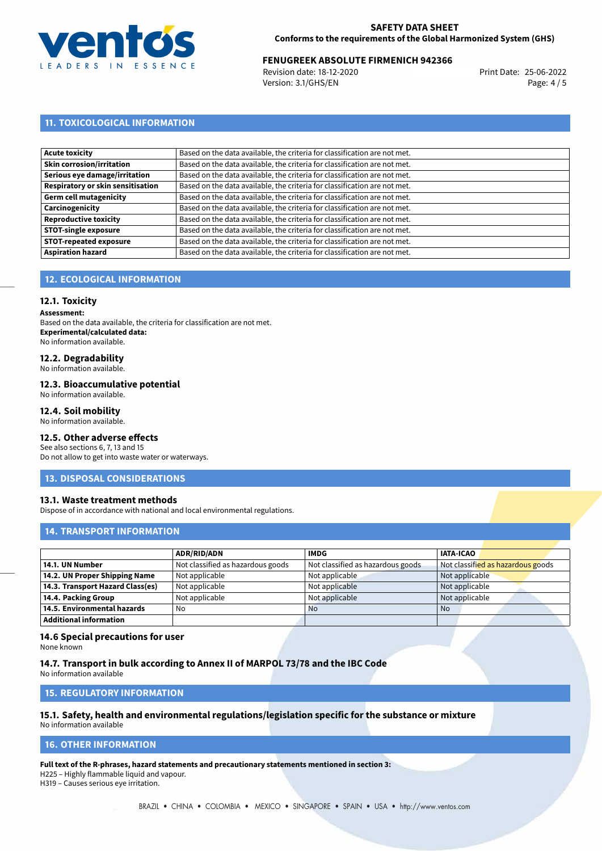

## **FENUGREEK ABSOLUTE FIRMENICH 942366**<br>Revision date: 18-12-2020 Print Date: 25-06-2022

Revision date: 18-12-2020 Version: 3.1/GHS/EN Page: 4 / 5

## **11. TOXICOLOGICAL INFORMATION**

| Acute toxicity                    | Based on the data available, the criteria for classification are not met. |
|-----------------------------------|---------------------------------------------------------------------------|
| Skin corrosion/irritation         | Based on the data available, the criteria for classification are not met. |
| Serious eye damage/irritation     | Based on the data available, the criteria for classification are not met. |
| Respiratory or skin sensitisation | Based on the data available, the criteria for classification are not met. |
| Germ cell mutagenicity            | Based on the data available, the criteria for classification are not met. |
| Carcinogenicity                   | Based on the data available, the criteria for classification are not met. |
| Reproductive toxicity             | Based on the data available, the criteria for classification are not met. |
| <b>STOT-single exposure</b>       | Based on the data available, the criteria for classification are not met. |
| <b>STOT-repeated exposure</b>     | Based on the data available, the criteria for classification are not met. |
| <b>Aspiration hazard</b>          | Based on the data available, the criteria for classification are not met. |

## **12. ECOLOGICAL INFORMATION**

#### **12.1. Toxicity**

**Assessment:**

Based on the data available, the criteria for classification are not met. **Experimental/calculated data:** No information available.

## **12.2. Degradability**

No information available.

#### **12.3. Bioaccumulative potential**

No information available.

#### **12.4. Soil mobility**

No information available.

## **12.5. Other adverse effects**

See also sections 6, 7, 13 and 15 Do not allow to get into waste water or waterways.

#### **13. DISPOSAL CONSIDERATIONS**

#### **13.1. Waste treatment methods**

Dispose of in accordance with national and local environmental regulations.

## **14. TRANSPORT INFORMATION**

|                                  | <b>ADR/RID/ADN</b>                | <b>IMDG</b>                       | <b>IATA-ICAO</b>                  |
|----------------------------------|-----------------------------------|-----------------------------------|-----------------------------------|
| 14.1. UN Number                  | Not classified as hazardous goods | Not classified as hazardous goods | Not classified as hazardous goods |
| 14.2. UN Proper Shipping Name    | Not applicable                    | Not applicable                    | Not applicable                    |
| 14.3. Transport Hazard Class(es) | Not applicable                    | Not applicable                    | Not applicable                    |
| 14.4. Packing Group              | Not applicable                    | Not applicable                    | Not applicable                    |
| 14.5. Environmental hazards      | No                                | <b>No</b>                         | No                                |
| <b>Additional information</b>    |                                   |                                   |                                   |

#### **14.6 Special precautions for user**

None known

## **14.7. Transport in bulk according to Annex II of MARPOL 73/78 and the IBC Code**

No information available

#### **15. REGULATORY INFORMATION**

## **15.1. Safety, health and environmental regulations/legislation specific for the substance or mixture**

No information available

#### **16. OTHER INFORMATION**

**Full text of the R-phrases, hazard statements and precautionary statements mentioned in section 3:**

H225 – Highly flammable liquid and vapour.

H319 – Causes serious eye irritation.